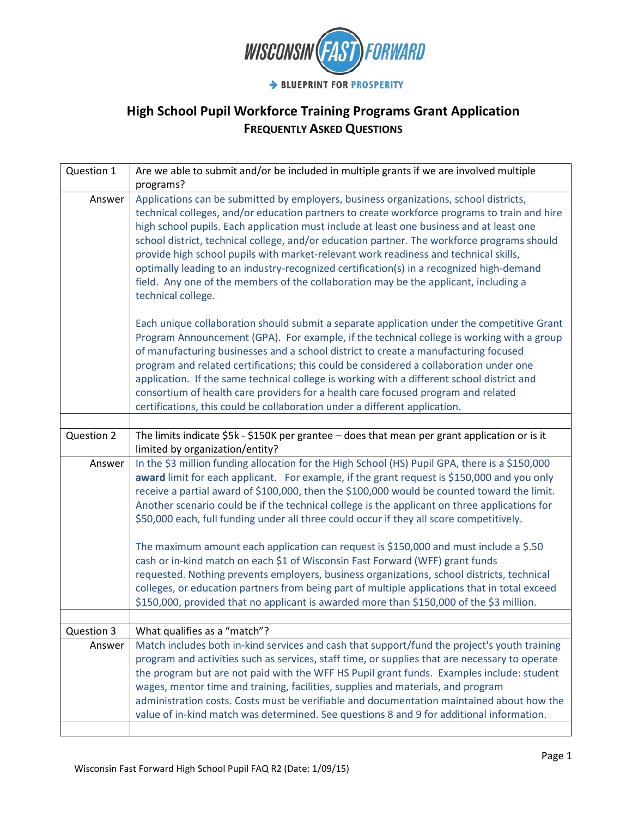

| Question 1 | Are we able to submit and/or be included in multiple grants if we are involved multiple                                                                                                                                                                                                                                                                                                                                                                                                                                                                                                                                                                                                                                                                                                                                                                                                                                                                        |
|------------|----------------------------------------------------------------------------------------------------------------------------------------------------------------------------------------------------------------------------------------------------------------------------------------------------------------------------------------------------------------------------------------------------------------------------------------------------------------------------------------------------------------------------------------------------------------------------------------------------------------------------------------------------------------------------------------------------------------------------------------------------------------------------------------------------------------------------------------------------------------------------------------------------------------------------------------------------------------|
|            | programs?                                                                                                                                                                                                                                                                                                                                                                                                                                                                                                                                                                                                                                                                                                                                                                                                                                                                                                                                                      |
| Answer     | Applications can be submitted by employers, business organizations, school districts,<br>technical colleges, and/or education partners to create workforce programs to train and hire<br>high school pupils. Each application must include at least one business and at least one<br>school district, technical college, and/or education partner. The workforce programs should<br>provide high school pupils with market-relevant work readiness and technical skills,<br>optimally leading to an industry-recognized certification(s) in a recognized high-demand<br>field. Any one of the members of the collaboration may be the applicant, including a<br>technical college.                                                                                                                                                                                                                                                                             |
|            | Each unique collaboration should submit a separate application under the competitive Grant<br>Program Announcement (GPA). For example, if the technical college is working with a group<br>of manufacturing businesses and a school district to create a manufacturing focused<br>program and related certifications; this could be considered a collaboration under one<br>application. If the same technical college is working with a different school district and<br>consortium of health care providers for a health care focused program and related<br>certifications, this could be collaboration under a different application.                                                                                                                                                                                                                                                                                                                      |
|            |                                                                                                                                                                                                                                                                                                                                                                                                                                                                                                                                                                                                                                                                                                                                                                                                                                                                                                                                                                |
| Question 2 | The limits indicate \$5k - \$150K per grantee - does that mean per grant application or is it<br>limited by organization/entity?                                                                                                                                                                                                                                                                                                                                                                                                                                                                                                                                                                                                                                                                                                                                                                                                                               |
| Answer     | In the \$3 million funding allocation for the High School (HS) Pupil GPA, there is a \$150,000<br>award limit for each applicant. For example, if the grant request is \$150,000 and you only<br>receive a partial award of \$100,000, then the \$100,000 would be counted toward the limit.<br>Another scenario could be if the technical college is the applicant on three applications for<br>\$50,000 each, full funding under all three could occur if they all score competitively.<br>The maximum amount each application can request is \$150,000 and must include a \$.50<br>cash or in-kind match on each \$1 of Wisconsin Fast Forward (WFF) grant funds<br>requested. Nothing prevents employers, business organizations, school districts, technical<br>colleges, or education partners from being part of multiple applications that in total exceed<br>\$150,000, provided that no applicant is awarded more than \$150,000 of the \$3 million. |
| Question 3 | What qualifies as a "match"?                                                                                                                                                                                                                                                                                                                                                                                                                                                                                                                                                                                                                                                                                                                                                                                                                                                                                                                                   |
| Answer     | Match includes both in-kind services and cash that support/fund the project's youth training<br>program and activities such as services, staff time, or supplies that are necessary to operate<br>the program but are not paid with the WFF HS Pupil grant funds. Examples include: student<br>wages, mentor time and training, facilities, supplies and materials, and program<br>administration costs. Costs must be verifiable and documentation maintained about how the<br>value of in-kind match was determined. See questions 8 and 9 for additional information.                                                                                                                                                                                                                                                                                                                                                                                       |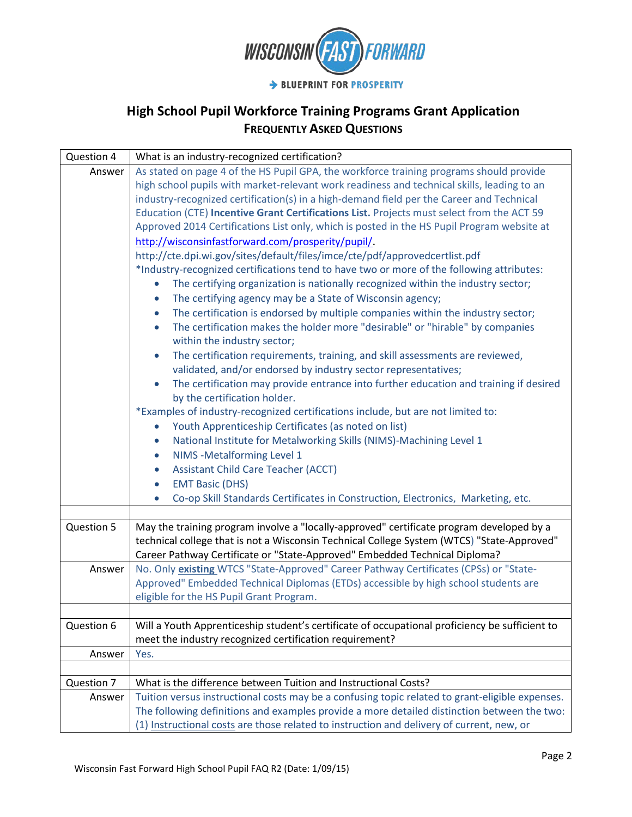

| Question 4 | What is an industry-recognized certification?                                                      |
|------------|----------------------------------------------------------------------------------------------------|
| Answer     | As stated on page 4 of the HS Pupil GPA, the workforce training programs should provide            |
|            | high school pupils with market-relevant work readiness and technical skills, leading to an         |
|            | industry-recognized certification(s) in a high-demand field per the Career and Technical           |
|            | Education (CTE) Incentive Grant Certifications List. Projects must select from the ACT 59          |
|            | Approved 2014 Certifications List only, which is posted in the HS Pupil Program website at         |
|            | http://wisconsinfastforward.com/prosperity/pupil/.                                                 |
|            | http://cte.dpi.wi.gov/sites/default/files/imce/cte/pdf/approvedcertlist.pdf                        |
|            | *Industry-recognized certifications tend to have two or more of the following attributes:          |
|            | The certifying organization is nationally recognized within the industry sector;<br>$\bullet$      |
|            | The certifying agency may be a State of Wisconsin agency;<br>$\bullet$                             |
|            | The certification is endorsed by multiple companies within the industry sector;<br>$\bullet$       |
|            | The certification makes the holder more "desirable" or "hirable" by companies<br>$\bullet$         |
|            | within the industry sector;                                                                        |
|            | The certification requirements, training, and skill assessments are reviewed,<br>$\bullet$         |
|            | validated, and/or endorsed by industry sector representatives;                                     |
|            | The certification may provide entrance into further education and training if desired<br>$\bullet$ |
|            | by the certification holder.                                                                       |
|            | *Examples of industry-recognized certifications include, but are not limited to:                   |
|            | Youth Apprenticeship Certificates (as noted on list)<br>$\bullet$                                  |
|            | National Institute for Metalworking Skills (NIMS)-Machining Level 1<br>$\bullet$                   |
|            | NIMS - Metalforming Level 1<br>$\bullet$                                                           |
|            | <b>Assistant Child Care Teacher (ACCT)</b><br>$\bullet$                                            |
|            | <b>EMT Basic (DHS)</b><br>$\bullet$                                                                |
|            | Co-op Skill Standards Certificates in Construction, Electronics, Marketing, etc.<br>$\bullet$      |
|            |                                                                                                    |
| Question 5 | May the training program involve a "locally-approved" certificate program developed by a           |
|            | technical college that is not a Wisconsin Technical College System (WTCS) "State-Approved"         |
|            | Career Pathway Certificate or "State-Approved" Embedded Technical Diploma?                         |
| Answer     | No. Only existing WTCS "State-Approved" Career Pathway Certificates (CPSs) or "State-              |
|            | Approved" Embedded Technical Diplomas (ETDs) accessible by high school students are                |
|            | eligible for the HS Pupil Grant Program.                                                           |
|            |                                                                                                    |
| Question 6 | Will a Youth Apprenticeship student's certificate of occupational proficiency be sufficient to     |
|            | meet the industry recognized certification requirement?                                            |
| Answer     | Yes.                                                                                               |
|            |                                                                                                    |
| Question 7 | What is the difference between Tuition and Instructional Costs?                                    |
| Answer     | Tuition versus instructional costs may be a confusing topic related to grant-eligible expenses.    |
|            | The following definitions and examples provide a more detailed distinction between the two:        |
|            | (1) Instructional costs are those related to instruction and delivery of current, new, or          |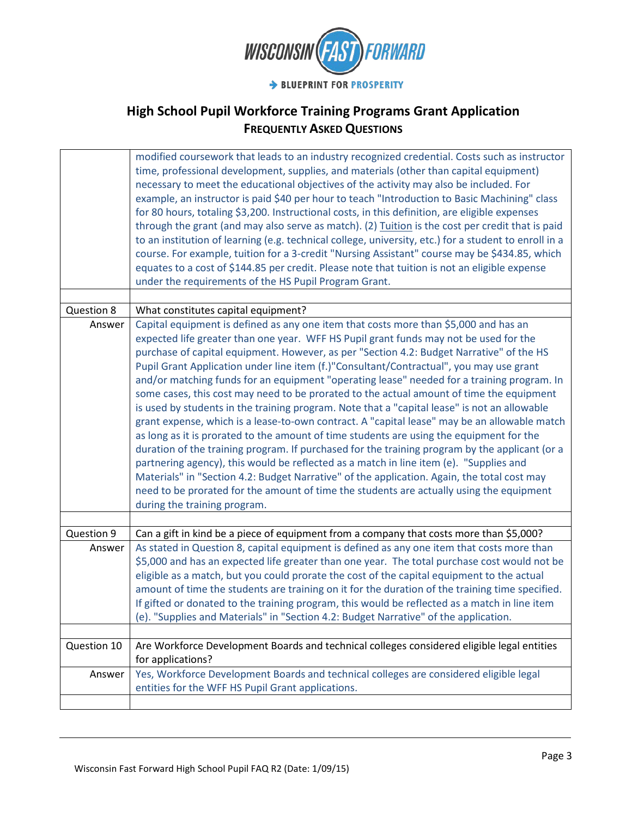

|             | modified coursework that leads to an industry recognized credential. Costs such as instructor<br>time, professional development, supplies, and materials (other than capital equipment)<br>necessary to meet the educational objectives of the activity may also be included. For<br>example, an instructor is paid \$40 per hour to teach "Introduction to Basic Machining" class<br>for 80 hours, totaling \$3,200. Instructional costs, in this definition, are eligible expenses<br>through the grant (and may also serve as match). (2) Tuition is the cost per credit that is paid<br>to an institution of learning (e.g. technical college, university, etc.) for a student to enroll in a<br>course. For example, tuition for a 3-credit "Nursing Assistant" course may be \$434.85, which<br>equates to a cost of \$144.85 per credit. Please note that tuition is not an eligible expense<br>under the requirements of the HS Pupil Program Grant.                                                                                                                                                                                                                                                                                                                      |
|-------------|-----------------------------------------------------------------------------------------------------------------------------------------------------------------------------------------------------------------------------------------------------------------------------------------------------------------------------------------------------------------------------------------------------------------------------------------------------------------------------------------------------------------------------------------------------------------------------------------------------------------------------------------------------------------------------------------------------------------------------------------------------------------------------------------------------------------------------------------------------------------------------------------------------------------------------------------------------------------------------------------------------------------------------------------------------------------------------------------------------------------------------------------------------------------------------------------------------------------------------------------------------------------------------------|
| Question 8  | What constitutes capital equipment?                                                                                                                                                                                                                                                                                                                                                                                                                                                                                                                                                                                                                                                                                                                                                                                                                                                                                                                                                                                                                                                                                                                                                                                                                                               |
| Answer      | Capital equipment is defined as any one item that costs more than \$5,000 and has an<br>expected life greater than one year. WFF HS Pupil grant funds may not be used for the<br>purchase of capital equipment. However, as per "Section 4.2: Budget Narrative" of the HS<br>Pupil Grant Application under line item (f.)"Consultant/Contractual", you may use grant<br>and/or matching funds for an equipment "operating lease" needed for a training program. In<br>some cases, this cost may need to be prorated to the actual amount of time the equipment<br>is used by students in the training program. Note that a "capital lease" is not an allowable<br>grant expense, which is a lease-to-own contract. A "capital lease" may be an allowable match<br>as long as it is prorated to the amount of time students are using the equipment for the<br>duration of the training program. If purchased for the training program by the applicant (or a<br>partnering agency), this would be reflected as a match in line item (e). "Supplies and<br>Materials" in "Section 4.2: Budget Narrative" of the application. Again, the total cost may<br>need to be prorated for the amount of time the students are actually using the equipment<br>during the training program. |
| Question 9  | Can a gift in kind be a piece of equipment from a company that costs more than \$5,000?                                                                                                                                                                                                                                                                                                                                                                                                                                                                                                                                                                                                                                                                                                                                                                                                                                                                                                                                                                                                                                                                                                                                                                                           |
| Answer      | As stated in Question 8, capital equipment is defined as any one item that costs more than                                                                                                                                                                                                                                                                                                                                                                                                                                                                                                                                                                                                                                                                                                                                                                                                                                                                                                                                                                                                                                                                                                                                                                                        |
|             | \$5,000 and has an expected life greater than one year. The total purchase cost would not be<br>eligible as a match, but you could prorate the cost of the capital equipment to the actual<br>amount of time the students are training on it for the duration of the training time specified.<br>If gifted or donated to the training program, this would be reflected as a match in line item<br>(e). "Supplies and Materials" in "Section 4.2: Budget Narrative" of the application.                                                                                                                                                                                                                                                                                                                                                                                                                                                                                                                                                                                                                                                                                                                                                                                            |
| Question 10 | Are Workforce Development Boards and technical colleges considered eligible legal entities                                                                                                                                                                                                                                                                                                                                                                                                                                                                                                                                                                                                                                                                                                                                                                                                                                                                                                                                                                                                                                                                                                                                                                                        |
|             | for applications?                                                                                                                                                                                                                                                                                                                                                                                                                                                                                                                                                                                                                                                                                                                                                                                                                                                                                                                                                                                                                                                                                                                                                                                                                                                                 |
| Answer      | Yes, Workforce Development Boards and technical colleges are considered eligible legal<br>entities for the WFF HS Pupil Grant applications.                                                                                                                                                                                                                                                                                                                                                                                                                                                                                                                                                                                                                                                                                                                                                                                                                                                                                                                                                                                                                                                                                                                                       |
|             |                                                                                                                                                                                                                                                                                                                                                                                                                                                                                                                                                                                                                                                                                                                                                                                                                                                                                                                                                                                                                                                                                                                                                                                                                                                                                   |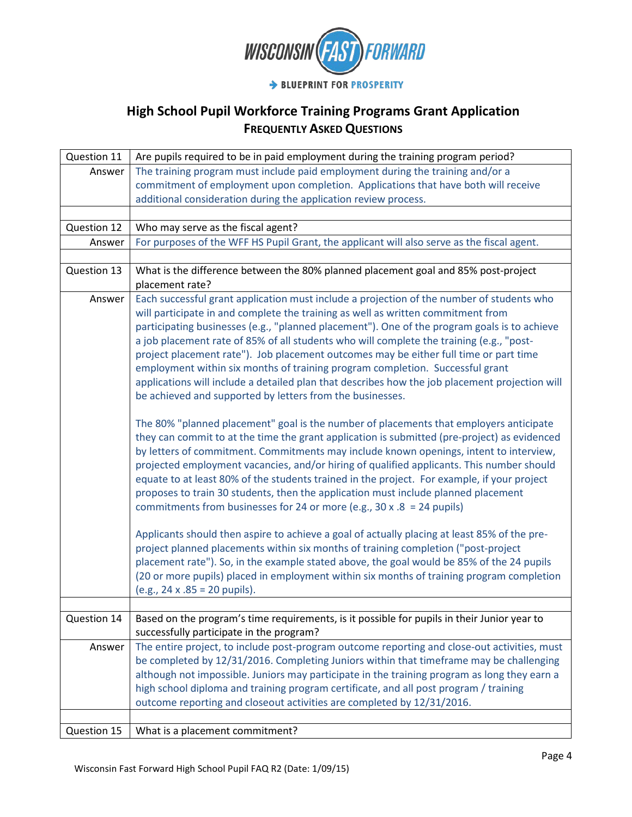

| Question 11 | Are pupils required to be in paid employment during the training program period?               |
|-------------|------------------------------------------------------------------------------------------------|
| Answer      | The training program must include paid employment during the training and/or a                 |
|             | commitment of employment upon completion. Applications that have both will receive             |
|             | additional consideration during the application review process.                                |
|             |                                                                                                |
| Question 12 | Who may serve as the fiscal agent?                                                             |
| Answer      | For purposes of the WFF HS Pupil Grant, the applicant will also serve as the fiscal agent.     |
|             |                                                                                                |
| Question 13 | What is the difference between the 80% planned placement goal and 85% post-project             |
|             | placement rate?                                                                                |
| Answer      | Each successful grant application must include a projection of the number of students who      |
|             | will participate in and complete the training as well as written commitment from               |
|             | participating businesses (e.g., "planned placement"). One of the program goals is to achieve   |
|             | a job placement rate of 85% of all students who will complete the training (e.g., "post-       |
|             | project placement rate"). Job placement outcomes may be either full time or part time          |
|             | employment within six months of training program completion. Successful grant                  |
|             | applications will include a detailed plan that describes how the job placement projection will |
|             | be achieved and supported by letters from the businesses.                                      |
|             | The 80% "planned placement" goal is the number of placements that employers anticipate         |
|             | they can commit to at the time the grant application is submitted (pre-project) as evidenced   |
|             | by letters of commitment. Commitments may include known openings, intent to interview,         |
|             | projected employment vacancies, and/or hiring of qualified applicants. This number should      |
|             | equate to at least 80% of the students trained in the project. For example, if your project    |
|             | proposes to train 30 students, then the application must include planned placement             |
|             | commitments from businesses for 24 or more (e.g., 30 x .8 = 24 pupils)                         |
|             | Applicants should then aspire to achieve a goal of actually placing at least 85% of the pre-   |
|             | project planned placements within six months of training completion ("post-project             |
|             | placement rate"). So, in the example stated above, the goal would be 85% of the 24 pupils      |
|             | (20 or more pupils) placed in employment within six months of training program completion      |
|             | (e.g., 24 x .85 = 20 pupils).                                                                  |
|             |                                                                                                |
| Question 14 | Based on the program's time requirements, is it possible for pupils in their Junior year to    |
|             | successfully participate in the program?                                                       |
| Answer      | The entire project, to include post-program outcome reporting and close-out activities, must   |
|             | be completed by 12/31/2016. Completing Juniors within that timeframe may be challenging        |
|             | although not impossible. Juniors may participate in the training program as long they earn a   |
|             | high school diploma and training program certificate, and all post program / training          |
|             | outcome reporting and closeout activities are completed by 12/31/2016.                         |
|             |                                                                                                |
| Question 15 | What is a placement commitment?                                                                |